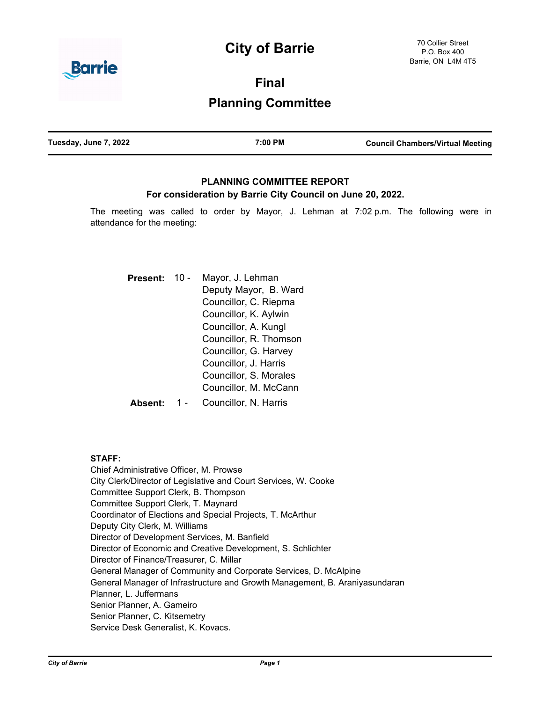# **City of Barrie**



**Final**

## **Planning Committee**

| Tuesday, June 7, 2022 | 7:00 PM | <b>Council Chambers/Virtual Meeting</b> |
|-----------------------|---------|-----------------------------------------|
|                       |         |                                         |

## **PLANNING COMMITTEE REPORT For consideration by Barrie City Council on June 20, 2022.**

The meeting was called to order by Mayor, J. Lehman at 7:02 p.m. The following were in attendance for the meeting:

| <b>Present:</b> | 10 - | Mayor, J. Lehman<br>Deputy Mayor, B. Ward |  |
|-----------------|------|-------------------------------------------|--|
|                 |      |                                           |  |
|                 |      | Councillor, C. Riepma                     |  |
|                 |      | Councillor, K. Aylwin                     |  |
|                 |      | Councillor, A. Kungl                      |  |
|                 |      | Councillor, R. Thomson                    |  |
|                 |      | Councillor, G. Harvey                     |  |
|                 |      | Councillor, J. Harris                     |  |
|                 |      | Councillor, S. Morales                    |  |
|                 |      | Councillor, M. McCann                     |  |
| Absent:         |      | Councillor, N. Harris                     |  |

## **STAFF:**

Chief Administrative Officer, M. Prowse City Clerk/Director of Legislative and Court Services, W. Cooke Committee Support Clerk, B. Thompson Committee Support Clerk, T. Maynard Coordinator of Elections and Special Projects, T. McArthur Deputy City Clerk, M. Williams Director of Development Services, M. Banfield Director of Economic and Creative Development, S. Schlichter Director of Finance/Treasurer, C. Millar General Manager of Community and Corporate Services, D. McAlpine General Manager of Infrastructure and Growth Management, B. Araniyasundaran Planner, L. Juffermans Senior Planner, A. Gameiro Senior Planner, C. Kitsemetry Service Desk Generalist, K. Kovacs.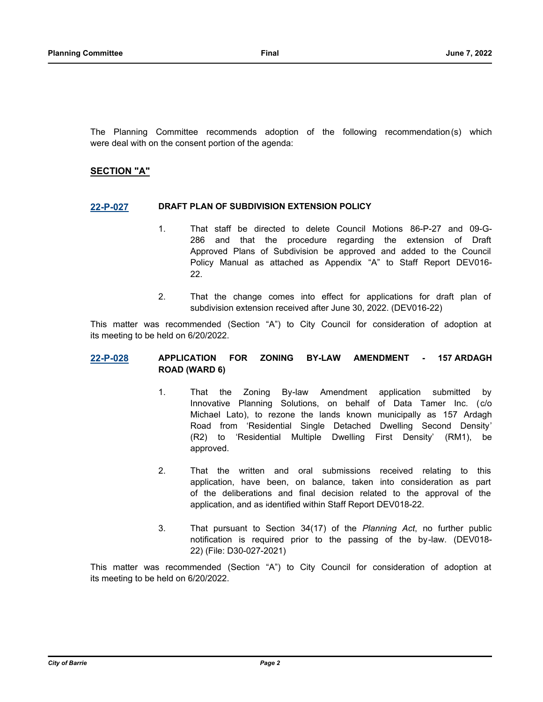The Planning Committee recommends adoption of the following recommendation(s) which were deal with on the consent portion of the agenda:

## **SECTION "A"**

#### **[22-P-027](http://barrie.ca.legistar.com/gateway.aspx?m=l&id=/matter.aspx?key=50753) DRAFT PLAN OF SUBDIVISION EXTENSION POLICY**

- 1. That staff be directed to delete Council Motions 86-P-27 and 09-G-286 and that the procedure regarding the extension of Draft Approved Plans of Subdivision be approved and added to the Council Policy Manual as attached as Appendix "A" to Staff Report DEV016- 22.
- 2. That the change comes into effect for applications for draft plan of subdivision extension received after June 30, 2022. (DEV016-22)

This matter was recommended (Section "A") to City Council for consideration of adoption at its meeting to be held on 6/20/2022.

#### **[22-P-028](http://barrie.ca.legistar.com/gateway.aspx?m=l&id=/matter.aspx?key=50727) APPLICATION FOR ZONING BY-LAW AMENDMENT - 157 ARDAGH ROAD (WARD 6)**

- 1. That the Zoning By-law Amendment application submitted by Innovative Planning Solutions, on behalf of Data Tamer Inc. (c/o Michael Lato), to rezone the lands known municipally as 157 Ardagh Road from 'Residential Single Detached Dwelling Second Density' (R2) to 'Residential Multiple Dwelling First Density' (RM1), be approved.
- 2. That the written and oral submissions received relating to this application, have been, on balance, taken into consideration as part of the deliberations and final decision related to the approval of the application, and as identified within Staff Report DEV018-22.
- 3. That pursuant to Section 34(17) of the *Planning Act*, no further public notification is required prior to the passing of the by-law. (DEV018- 22) (File: D30-027-2021)

This matter was recommended (Section "A") to City Council for consideration of adoption at its meeting to be held on 6/20/2022.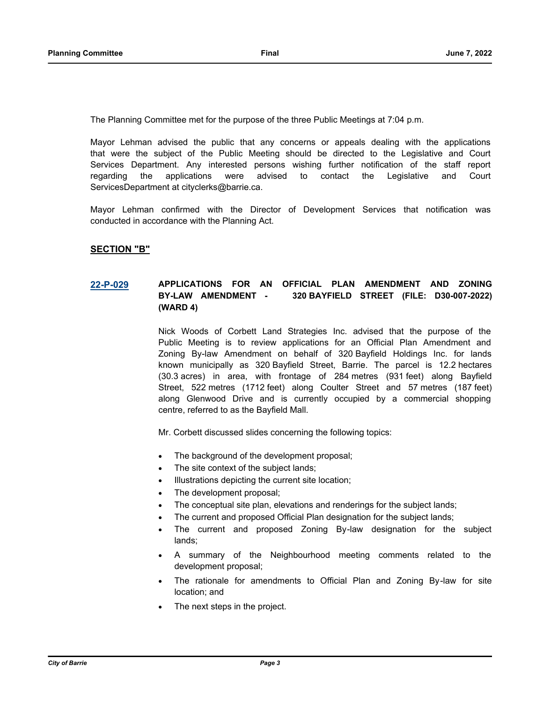The Planning Committee met for the purpose of the three Public Meetings at 7:04 p.m.

Mayor Lehman advised the public that any concerns or appeals dealing with the applications that were the subject of the Public Meeting should be directed to the Legislative and Court Services Department. Any interested persons wishing further notification of the staff report regarding the applications were advised to contact the Legislative and Court ServicesDepartment at cityclerks@barrie.ca.

Mayor Lehman confirmed with the Director of Development Services that notification was conducted in accordance with the Planning Act.

## **SECTION "B"**

## **[22-P-029](http://barrie.ca.legistar.com/gateway.aspx?m=l&id=/matter.aspx?key=50726) APPLICATIONS FOR AN OFFICIAL PLAN AMENDMENT AND ZONING BY-LAW AMENDMENT - 320 BAYFIELD STREET (FILE: D30-007-2022) (WARD 4)**

Nick Woods of Corbett Land Strategies Inc. advised that the purpose of the Public Meeting is to review applications for an Official Plan Amendment and Zoning By-law Amendment on behalf of 320 Bayfield Holdings Inc. for lands known municipally as 320 Bayfield Street, Barrie. The parcel is 12.2 hectares (30.3 acres) in area, with frontage of 284 metres (931 feet) along Bayfield Street, 522 metres (1712 feet) along Coulter Street and 57 metres (187 feet) along Glenwood Drive and is currently occupied by a commercial shopping centre, referred to as the Bayfield Mall.

Mr. Corbett discussed slides concerning the following topics:

- The background of the development proposal;
- The site context of the subject lands;
- Illustrations depicting the current site location;
- The development proposal;
- The conceptual site plan, elevations and renderings for the subject lands;
- The current and proposed Official Plan designation for the subject lands;
- · The current and proposed Zoning By-law designation for the subject lands;
- A summary of the Neighbourhood meeting comments related to the development proposal;
- The rationale for amendments to Official Plan and Zoning By-law for site location; and
- The next steps in the project.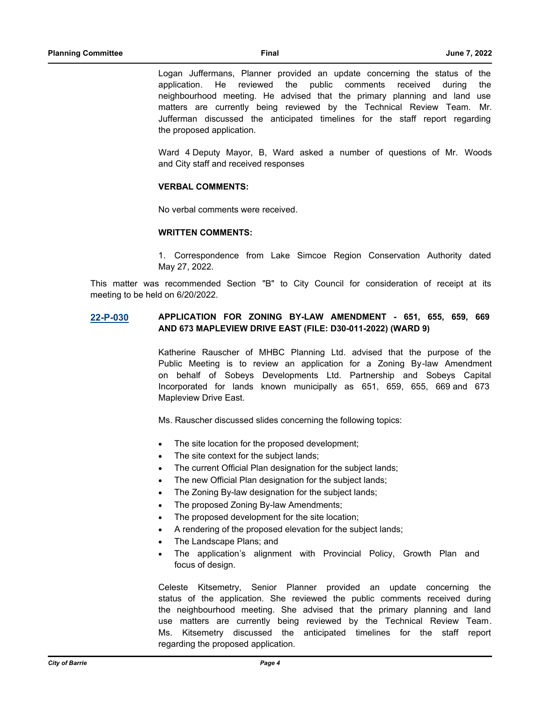Logan Juffermans, Planner provided an update concerning the status of the application. He reviewed the public comments received during the neighbourhood meeting. He advised that the primary planning and land use matters are currently being reviewed by the Technical Review Team. Mr. Jufferman discussed the anticipated timelines for the staff report regarding the proposed application.

Ward 4 Deputy Mayor, B, Ward asked a number of questions of Mr. Woods and City staff and received responses

#### **VERBAL COMMENTS:**

No verbal comments were received.

#### **WRITTEN COMMENTS:**

1. Correspondence from Lake Simcoe Region Conservation Authority dated May 27, 2022.

This matter was recommended Section "B" to City Council for consideration of receipt at its meeting to be held on 6/20/2022.

## **[22-P-030](http://barrie.ca.legistar.com/gateway.aspx?m=l&id=/matter.aspx?key=50712) APPLICATION FOR ZONING BY-LAW AMENDMENT - 651, 655, 659, 669 AND 673 MAPLEVIEW DRIVE EAST (FILE: D30-011-2022) (WARD 9)**

Katherine Rauscher of MHBC Planning Ltd. advised that the purpose of the Public Meeting is to review an application for a Zoning By-law Amendment on behalf of Sobeys Developments Ltd. Partnership and Sobeys Capital Incorporated for lands known municipally as 651, 659, 655, 669 and 673 Mapleview Drive East.

Ms. Rauscher discussed slides concerning the following topics:

- The site location for the proposed development;
- The site context for the subject lands;
- The current Official Plan designation for the subject lands;
- The new Official Plan designation for the subject lands;
- The Zoning By-law designation for the subject lands;
- The proposed Zoning By-law Amendments;
- The proposed development for the site location;
- A rendering of the proposed elevation for the subject lands;
- The Landscape Plans; and
- The application's alignment with Provincial Policy, Growth Plan and focus of design.

Celeste Kitsemetry, Senior Planner provided an update concerning the status of the application. She reviewed the public comments received during the neighbourhood meeting. She advised that the primary planning and land use matters are currently being reviewed by the Technical Review Team. Ms. Kitsemetry discussed the anticipated timelines for the staff report regarding the proposed application.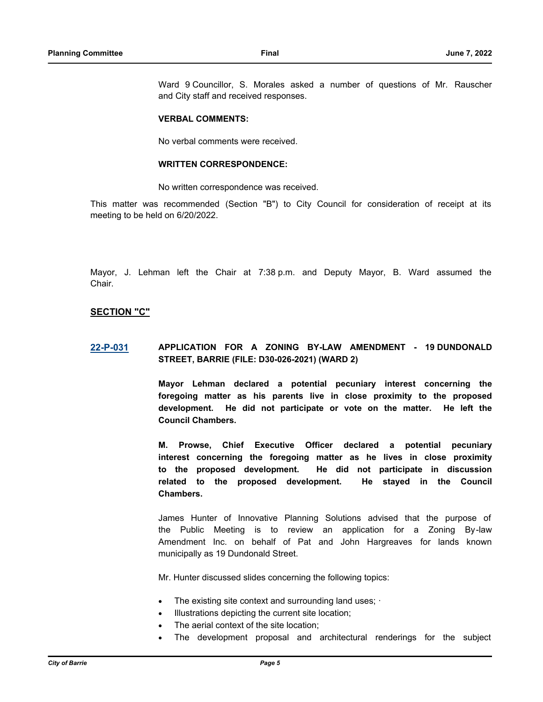Ward 9 Councillor, S. Morales asked a number of questions of Mr. Rauscher and City staff and received responses.

#### **VERBAL COMMENTS:**

No verbal comments were received.

#### **WRITTEN CORRESPONDENCE:**

No written correspondence was received.

This matter was recommended (Section "B") to City Council for consideration of receipt at its meeting to be held on 6/20/2022.

Mayor, J. Lehman left the Chair at 7:38 p.m. and Deputy Mayor, B. Ward assumed the Chair.

## **SECTION "C"**

## **[22-P-031](http://barrie.ca.legistar.com/gateway.aspx?m=l&id=/matter.aspx?key=50713) APPLICATION FOR A ZONING BY-LAW AMENDMENT - 19 DUNDONALD STREET, BARRIE (FILE: D30-026-2021) (WARD 2)**

**Mayor Lehman declared a potential pecuniary interest concerning the foregoing matter as his parents live in close proximity to the proposed development. He did not participate or vote on the matter. He left the Council Chambers.**

**M. Prowse, Chief Executive Officer declared a potential pecuniary interest concerning the foregoing matter as he lives in close proximity to the proposed development. He did not participate in discussion related to the proposed development. He stayed in the Council Chambers.**

James Hunter of Innovative Planning Solutions advised that the purpose of the Public Meeting is to review an application for a Zoning By-law Amendment Inc. on behalf of Pat and John Hargreaves for lands known municipally as 19 Dundonald Street.

Mr. Hunter discussed slides concerning the following topics:

- The existing site context and surrounding land uses;  $\cdot$
- Illustrations depicting the current site location;
- The aerial context of the site location;
- The development proposal and architectural renderings for the subject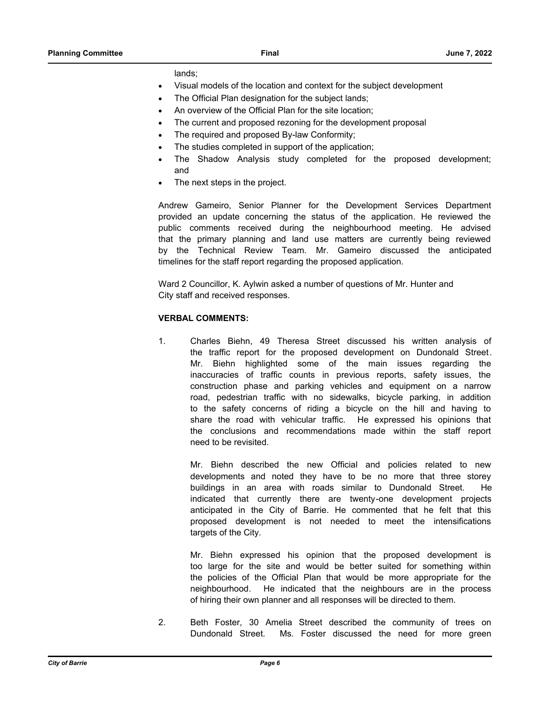lands;

- Visual models of the location and context for the subject development
- The Official Plan designation for the subject lands;
- An overview of the Official Plan for the site location;
- The current and proposed rezoning for the development proposal
- The required and proposed By-law Conformity;
- The studies completed in support of the application;
- · The Shadow Analysis study completed for the proposed development; and
- The next steps in the project.

Andrew Gameiro, Senior Planner for the Development Services Department provided an update concerning the status of the application. He reviewed the public comments received during the neighbourhood meeting. He advised that the primary planning and land use matters are currently being reviewed by the Technical Review Team. Mr. Gameiro discussed the anticipated timelines for the staff report regarding the proposed application.

Ward 2 Councillor, K. Aylwin asked a number of questions of Mr. Hunter and City staff and received responses.

#### **VERBAL COMMENTS:**

1. Charles Biehn, 49 Theresa Street discussed his written analysis of the traffic report for the proposed development on Dundonald Street. Mr. Biehn highlighted some of the main issues regarding the inaccuracies of traffic counts in previous reports, safety issues, the construction phase and parking vehicles and equipment on a narrow road, pedestrian traffic with no sidewalks, bicycle parking, in addition to the safety concerns of riding a bicycle on the hill and having to share the road with vehicular traffic. He expressed his opinions that the conclusions and recommendations made within the staff report need to be revisited.

Mr. Biehn described the new Official and policies related to new developments and noted they have to be no more that three storey buildings in an area with roads similar to Dundonald Street. He indicated that currently there are twenty-one development projects anticipated in the City of Barrie. He commented that he felt that this proposed development is not needed to meet the intensifications targets of the City.

Mr. Biehn expressed his opinion that the proposed development is too large for the site and would be better suited for something within the policies of the Official Plan that would be more appropriate for the neighbourhood. He indicated that the neighbours are in the process of hiring their own planner and all responses will be directed to them.

2. Beth Foster, 30 Amelia Street described the community of trees on Dundonald Street. Ms. Foster discussed the need for more green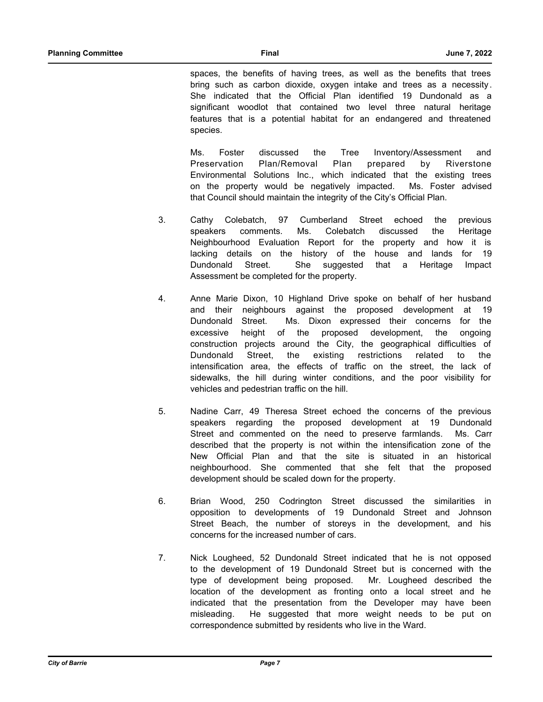spaces, the benefits of having trees, as well as the benefits that trees bring such as carbon dioxide, oxygen intake and trees as a necessity . She indicated that the Official Plan identified 19 Dundonald as a significant woodlot that contained two level three natural heritage features that is a potential habitat for an endangered and threatened species.

Ms. Foster discussed the Tree Inventory/Assessment and Preservation Plan/Removal Plan prepared by Riverstone Environmental Solutions Inc., which indicated that the existing trees on the property would be negatively impacted. Ms. Foster advised that Council should maintain the integrity of the City's Official Plan.

- 3. Cathy Colebatch, 97 Cumberland Street echoed the previous speakers comments. Ms. Colebatch discussed the Heritage Neighbourhood Evaluation Report for the property and how it is lacking details on the history of the house and lands for 19 Dundonald Street. She suggested that a Heritage Impact Assessment be completed for the property.
- 4. Anne Marie Dixon, 10 Highland Drive spoke on behalf of her husband and their neighbours against the proposed development at 19 Dundonald Street. Ms. Dixon expressed their concerns for the excessive height of the proposed development, the ongoing construction projects around the City, the geographical difficulties of Dundonald Street, the existing restrictions related to the intensification area, the effects of traffic on the street, the lack of sidewalks, the hill during winter conditions, and the poor visibility for vehicles and pedestrian traffic on the hill.
- 5. Nadine Carr, 49 Theresa Street echoed the concerns of the previous speakers regarding the proposed development at 19 Dundonald Street and commented on the need to preserve farmlands. Ms. Carr described that the property is not within the intensification zone of the New Official Plan and that the site is situated in an historical neighbourhood. She commented that she felt that the proposed development should be scaled down for the property.
- 6. Brian Wood, 250 Codrington Street discussed the similarities in opposition to developments of 19 Dundonald Street and Johnson Street Beach, the number of storeys in the development, and his concerns for the increased number of cars.
- 7. Nick Lougheed, 52 Dundonald Street indicated that he is not opposed to the development of 19 Dundonald Street but is concerned with the type of development being proposed. Mr. Lougheed described the location of the development as fronting onto a local street and he indicated that the presentation from the Developer may have been misleading. He suggested that more weight needs to be put on correspondence submitted by residents who live in the Ward.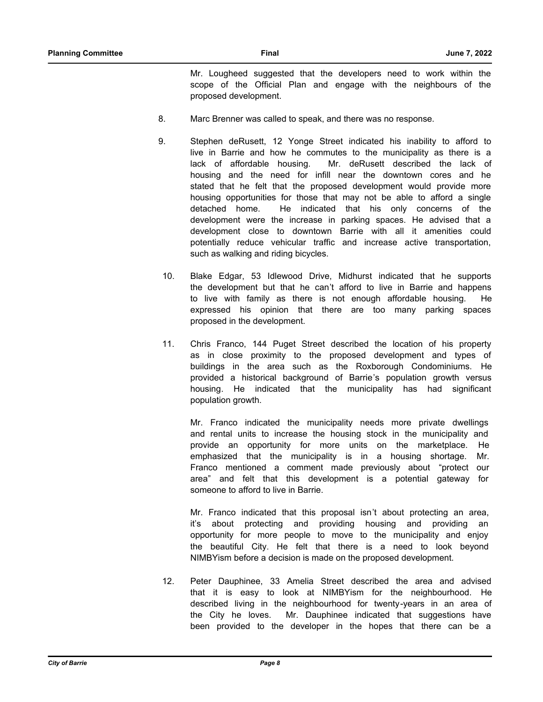Mr. Lougheed suggested that the developers need to work within the scope of the Official Plan and engage with the neighbours of the proposed development.

- 8. Marc Brenner was called to speak, and there was no response.
- 9. Stephen deRusett, 12 Yonge Street indicated his inability to afford to live in Barrie and how he commutes to the municipality as there is a lack of affordable housing. Mr. deRusett described the lack of housing and the need for infill near the downtown cores and he stated that he felt that the proposed development would provide more housing opportunities for those that may not be able to afford a single detached home. He indicated that his only concerns of the development were the increase in parking spaces. He advised that a development close to downtown Barrie with all it amenities could potentially reduce vehicular traffic and increase active transportation, such as walking and riding bicycles.
- 10. Blake Edgar, 53 Idlewood Drive, Midhurst indicated that he supports the development but that he can't afford to live in Barrie and happens to live with family as there is not enough affordable housing. He expressed his opinion that there are too many parking spaces proposed in the development.
- 11. Chris Franco, 144 Puget Street described the location of his property as in close proximity to the proposed development and types of buildings in the area such as the Roxborough Condominiums. He provided a historical background of Barrie's population growth versus housing. He indicated that the municipality has had significant population growth.

Mr. Franco indicated the municipality needs more private dwellings and rental units to increase the housing stock in the municipality and provide an opportunity for more units on the marketplace. He emphasized that the municipality is in a housing shortage. Mr. Franco mentioned a comment made previously about "protect our area" and felt that this development is a potential gateway for someone to afford to live in Barrie.

Mr. Franco indicated that this proposal isn't about protecting an area, it's about protecting and providing housing and providing an opportunity for more people to move to the municipality and enjoy the beautiful City. He felt that there is a need to look beyond NIMBYism before a decision is made on the proposed development.

12. Peter Dauphinee, 33 Amelia Street described the area and advised that it is easy to look at NIMBYism for the neighbourhood. He described living in the neighbourhood for twenty-years in an area of the City he loves. Mr. Dauphinee indicated that suggestions have been provided to the developer in the hopes that there can be a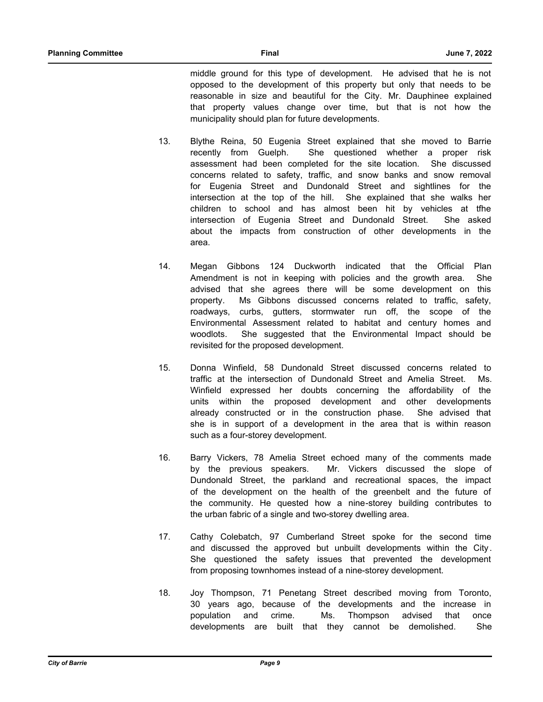middle ground for this type of development. He advised that he is not opposed to the development of this property but only that needs to be reasonable in size and beautiful for the City. Mr. Dauphinee explained that property values change over time, but that is not how the municipality should plan for future developments.

- 13. Blythe Reina, 50 Eugenia Street explained that she moved to Barrie recently from Guelph. She questioned whether a proper risk assessment had been completed for the site location. She discussed concerns related to safety, traffic, and snow banks and snow removal for Eugenia Street and Dundonald Street and sightlines for the intersection at the top of the hill. She explained that she walks her children to school and has almost been hit by vehicles at tfhe intersection of Eugenia Street and Dundonald Street. She asked about the impacts from construction of other developments in the area.
- 14. Megan Gibbons 124 Duckworth indicated that the Official Plan Amendment is not in keeping with policies and the growth area. She advised that she agrees there will be some development on this property. Ms Gibbons discussed concerns related to traffic, safety, roadways, curbs, gutters, stormwater run off, the scope of the Environmental Assessment related to habitat and century homes and woodlots. She suggested that the Environmental Impact should be revisited for the proposed development.
- 15. Donna Winfield, 58 Dundonald Street discussed concerns related to traffic at the intersection of Dundonald Street and Amelia Street. Ms. Winfield expressed her doubts concerning the affordability of the units within the proposed development and other developments already constructed or in the construction phase. She advised that she is in support of a development in the area that is within reason such as a four-storey development.
- 16. Barry Vickers, 78 Amelia Street echoed many of the comments made by the previous speakers. Mr. Vickers discussed the slope of Dundonald Street, the parkland and recreational spaces, the impact of the development on the health of the greenbelt and the future of the community. He quested how a nine-storey building contributes to the urban fabric of a single and two-storey dwelling area.
- 17. Cathy Colebatch, 97 Cumberland Street spoke for the second time and discussed the approved but unbuilt developments within the City . She questioned the safety issues that prevented the development from proposing townhomes instead of a nine-storey development.
- 18. Joy Thompson, 71 Penetang Street described moving from Toronto, 30 years ago, because of the developments and the increase in population and crime. Ms. Thompson advised that once developments are built that they cannot be demolished. She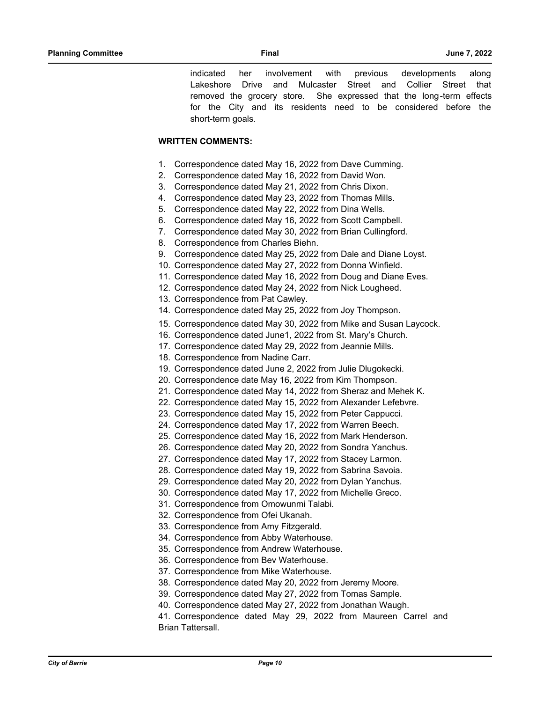indicated her involvement with previous developments along Lakeshore Drive and Mulcaster Street and Collier Street that removed the grocery store. She expressed that the long-term effects for the City and its residents need to be considered before the short-term goals.

## **WRITTEN COMMENTS:**

- 1. Correspondence dated May 16, 2022 from Dave Cumming.
- 2. Correspondence dated May 16, 2022 from David Won.
- 3. Correspondence dated May 21, 2022 from Chris Dixon.
- 4. Correspondence dated May 23, 2022 from Thomas Mills.
- 5. Correspondence dated May 22, 2022 from Dina Wells.
- 6. Correspondence dated May 16, 2022 from Scott Campbell.
- 7. Correspondence dated May 30, 2022 from Brian Cullingford.
- 8. Correspondence from Charles Biehn.
- 9. Correspondence dated May 25, 2022 from Dale and Diane Loyst.
- 10. Correspondence dated May 27, 2022 from Donna Winfield.
- 11. Correspondence dated May 16, 2022 from Doug and Diane Eves.
- 12. Correspondence dated May 24, 2022 from Nick Lougheed.
- 13. Correspondence from Pat Cawley.
- 14. Correspondence dated May 25, 2022 from Joy Thompson.
- 15. Correspondence dated May 30, 2022 from Mike and Susan Laycock.
- 16. Correspondence dated June1, 2022 from St. Mary's Church.
- 17. Correspondence dated May 29, 2022 from Jeannie Mills.
- 18. Correspondence from Nadine Carr.
- 19. Correspondence dated June 2, 2022 from Julie Dlugokecki.
- 20. Correspondence date May 16, 2022 from Kim Thompson.
- 21. Correspondence dated May 14, 2022 from Sheraz and Mehek K.
- 22. Correspondence dated May 15, 2022 from Alexander Lefebvre.
- 23. Correspondence dated May 15, 2022 from Peter Cappucci.
- 24. Correspondence dated May 17, 2022 from Warren Beech.
- 25. Correspondence dated May 16, 2022 from Mark Henderson.
- 26. Correspondence dated May 20, 2022 from Sondra Yanchus.
- 27. Correspondence dated May 17, 2022 from Stacey Larmon.
- 28. Correspondence dated May 19, 2022 from Sabrina Savoia.
- 29. Correspondence dated May 20, 2022 from Dylan Yanchus.
- 30. Correspondence dated May 17, 2022 from Michelle Greco.
- 31. Correspondence from Omowunmi Talabi.
- 32. Correspondence from Ofei Ukanah.
- 33. Correspondence from Amy Fitzgerald.
- 34. Correspondence from Abby Waterhouse.
- 35. Correspondence from Andrew Waterhouse.
- 36. Correspondence from Bev Waterhouse.
- 37. Correspondence from Mike Waterhouse.
- 38. Correspondence dated May 20, 2022 from Jeremy Moore.
- 39. Correspondence dated May 27, 2022 from Tomas Sample.
- 40. Correspondence dated May 27, 2022 from Jonathan Waugh.
- 41. Correspondence dated May 29, 2022 from Maureen Carrel and Brian Tattersall.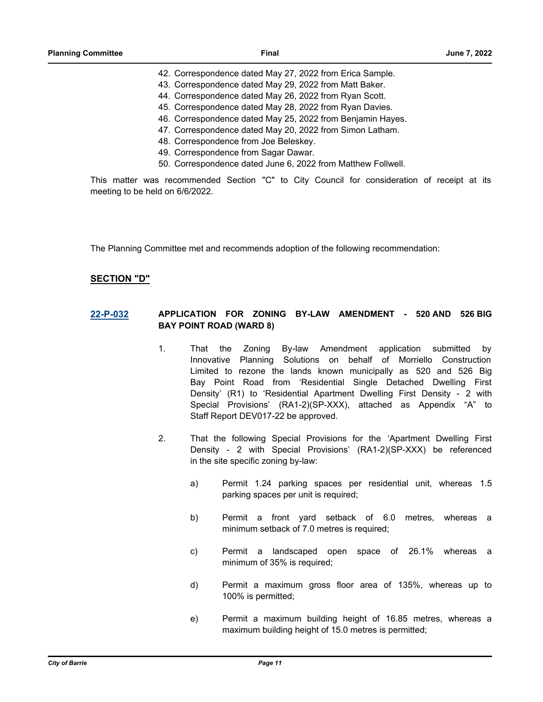- 42. Correspondence dated May 27, 2022 from Erica Sample.
- 43. Correspondence dated May 29, 2022 from Matt Baker.
- 44. Correspondence dated May 26, 2022 from Ryan Scott.
- 45. Correspondence dated May 28, 2022 from Ryan Davies.
- 46. Correspondence dated May 25, 2022 from Benjamin Hayes.
- 47. Correspondence dated May 20, 2022 from Simon Latham.
- 48. Correspondence from Joe Beleskey.
- 49. Correspondence from Sagar Dawar.
- 50. Correspondence dated June 6, 2022 from Matthew Follwell.

This matter was recommended Section "C" to City Council for consideration of receipt at its meeting to be held on 6/6/2022.

The Planning Committee met and recommends adoption of the following recommendation:

## **SECTION "D"**

## **[22-P-032](http://barrie.ca.legistar.com/gateway.aspx?m=l&id=/matter.aspx?key=50731) APPLICATION FOR ZONING BY-LAW AMENDMENT - 520 AND 526 BIG BAY POINT ROAD (WARD 8)**

- 1. That the Zoning By-law Amendment application submitted by Innovative Planning Solutions on behalf of Morriello Construction Limited to rezone the lands known municipally as 520 and 526 Big Bay Point Road from 'Residential Single Detached Dwelling First Density' (R1) to 'Residential Apartment Dwelling First Density - 2 with Special Provisions' (RA1-2)(SP-XXX), attached as Appendix "A" to Staff Report DEV017-22 be approved.
- 2. That the following Special Provisions for the 'Apartment Dwelling First Density - 2 with Special Provisions' (RA1-2)(SP-XXX) be referenced in the site specific zoning by-law:
	- a) Permit 1.24 parking spaces per residential unit, whereas 1.5 parking spaces per unit is required;
	- b) Permit a front yard setback of 6.0 metres, whereas a minimum setback of 7.0 metres is required:
	- c) Permit a landscaped open space of 26.1% whereas a minimum of 35% is required;
	- d) Permit a maximum gross floor area of 135%, whereas up to 100% is permitted;
	- e) Permit a maximum building height of 16.85 metres, whereas a maximum building height of 15.0 metres is permitted;